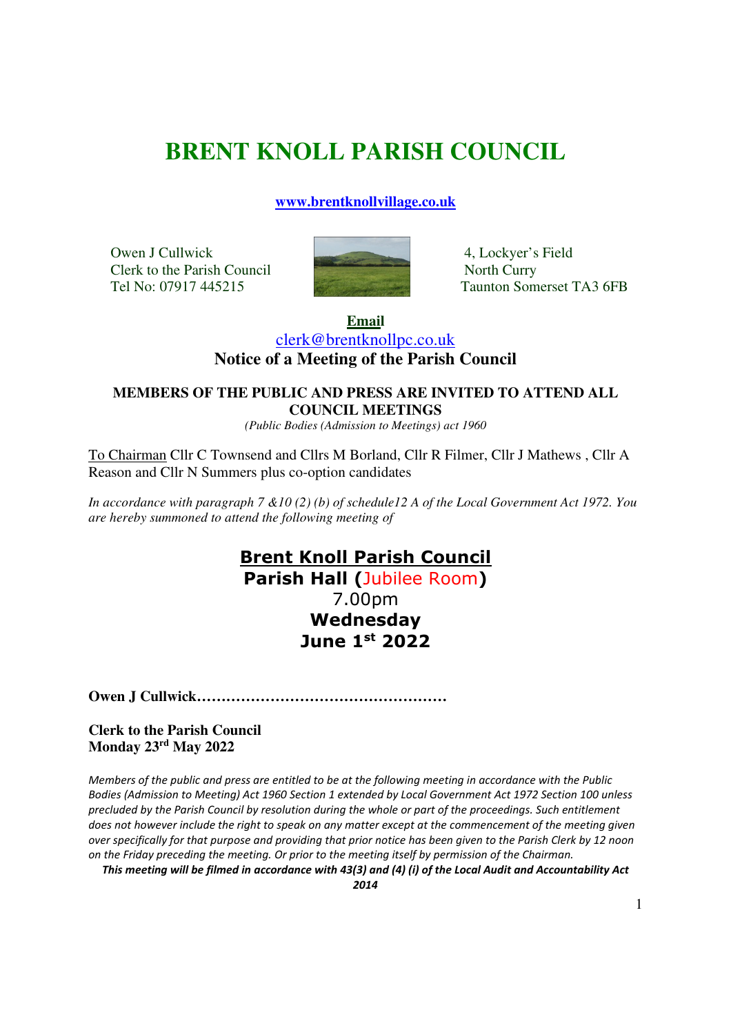# **BRENT KNOLL PARISH COUNCIL**

**www.brentknollvillage.co.uk**

Owen J Cullwick 4, Lockyer's Field Clerk to the Parish Council North Curry



Tel No: 07917 445215 Taunton Somerset TA3 6FB

**Email**  clerk@brentknollpc.co.uk **Notice of a Meeting of the Parish Council** 

#### **MEMBERS OF THE PUBLIC AND PRESS ARE INVITED TO ATTEND ALL COUNCIL MEETINGS**

*(Public Bodies (Admission to Meetings) act 1960* 

To Chairman Cllr C Townsend and Cllrs M Borland, Cllr R Filmer, Cllr J Mathews , Cllr A Reason and Cllr N Summers plus co-option candidates

*In accordance with paragraph 7 &10 (2) (b) of schedule12 A of the Local Government Act 1972. You are hereby summoned to attend the following meeting of* 

## **Brent Knoll Parish Council**

**Parish Hall (**Jubilee Room**)** 7.00pm **Wednesday June 1st 2022** 

**Owen J Cullwick……………………………………………** 

#### **Clerk to the Parish Council Monday 23rd May 2022**

*Members of the public and press are entitled to be at the following meeting in accordance with the Public Bodies (Admission to Meeting) Act 1960 Section 1 extended by Local Government Act 1972 Section 100 unless precluded by the Parish Council by resolution during the whole or part of the proceedings. Such entitlement does not however include the right to speak on any matter except at the commencement of the meeting given over specifically for that purpose and providing that prior notice has been given to the Parish Clerk by 12 noon on the Friday preceding the meeting. Or prior to the meeting itself by permission of the Chairman.* 

*This meeting will be filmed in accordance with 43(3) and (4) (i) of the Local Audit and Accountability Act 2014*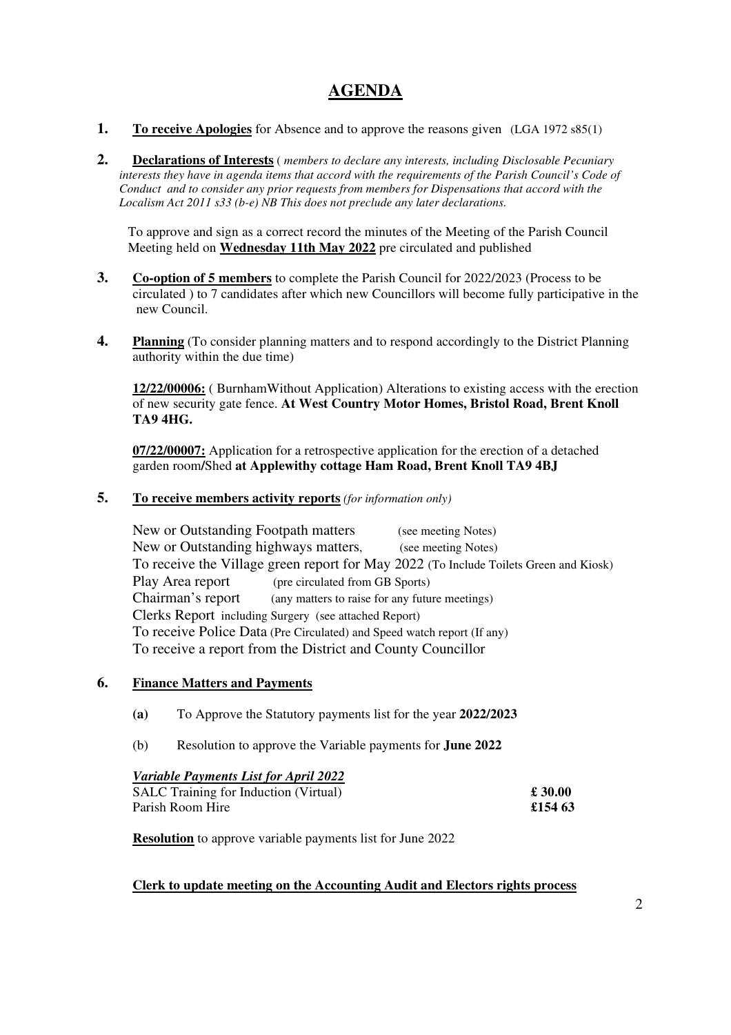### **AGENDA**

- **1. To receive Apologies** for Absence and to approve the reasons given (LGA 1972 s85(1)
- **2. Declarations of Interests** ( *members to declare any interests, including Disclosable Pecuniary interests they have in agenda items that accord with the requirements of the Parish Council's Code of Conduct and to consider any prior requests from members for Dispensations that accord with the Localism Act 2011 s33 (b-e) NB This does not preclude any later declarations.*

To approve and sign as a correct record the minutes of the Meeting of the Parish Council Meeting held on **Wednesday 11th May 2022** pre circulated and published

- **3. Co-option of 5 members** to complete the Parish Council for 2022/2023 (Process to be circulated ) to 7 candidates after which new Councillors will become fully participative in the new Council.
- **4. Planning** (To consider planning matters and to respond accordingly to the District Planning authority within the due time)

**12/22/00006:** ( BurnhamWithout Application) Alterations to existing access with the erection of new security gate fence. **At West Country Motor Homes, Bristol Road, Brent Knoll TA9 4HG.** 

 **07/22/00007:** Application for a retrospective application for the erection of a detached garden room**/**Shed **at Applewithy cottage Ham Road, Brent Knoll TA9 4BJ** 

#### **5. To receive members activity reports** *(for information only)*

New or Outstanding Footpath matters (see meeting Notes) New or Outstanding highways matters, (see meeting Notes) To receive the Village green report for May 2022 (To Include Toilets Green and Kiosk) Play Area report (pre circulated from GB Sports) Chairman's report (any matters to raise for any future meetings) Clerks Report including Surgery (see attached Report) To receive Police Data (Pre Circulated) and Speed watch report (If any) To receive a report from the District and County Councillor

#### **6. Finance Matters and Payments**

- **(a)** To Approve the Statutory payments list for the year **2022/2023**
- (b) Resolution to approve the Variable payments for **June 2022**

#### *Variable Payments List for April 2022*  SALC Training for Induction (Virtual) **£ 30.00** Parish Room Hire **£154 63**

**Resolution** to approve variable payments list for June 2022

#### **Clerk to update meeting on the Accounting Audit and Electors rights process**